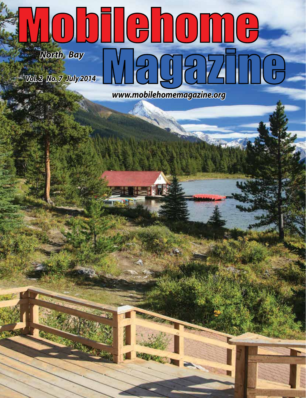## Mobilehome Magazine-*North Bay Vol. 2 No. 7 July 2014*   $-4.195$ *www.mobilehomemagazine.org*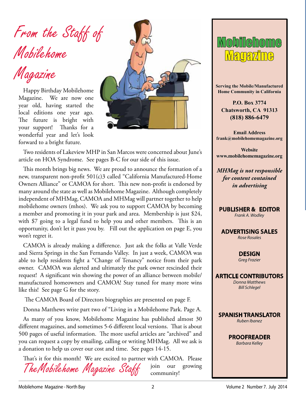From the Staff of Mobilehome

Magazine

Happy Birthday Mobilehome Magazine. We are now one year old, having started the local editions one year ago. The future is bright with your support! Thanks for a wonderful year and let's look forward to a bright future.



Two residents of Lakeview MHP in San Marcos were concerned about June's article on HOA Syndrome. See pages B-C for our side of this issue.

This month brings big news. We are proud to announce the formation of a new, transparent non-profit 501(c)3 called "California Manufactured-Home Owners Alliance" or CAMOA for short. This new non-profit is endorsed by many around the state as well as Mobilehome Magazine. Although completely independent of MHMag, CAMOA and MHMag will partner together to help mobilehome owners (mhos). We ask you to support CAMOA by becoming a member and promoting it in your park and area. Membership is just \$24, with \$7 going to a legal fund to help you and other members. This is an opportunity, don't let it pass you by. Fill out the application on page E, you won't regret it.

CAMOA is already making a difference. Just ask the folks at Valle Verde and Sierra Springs in the San Fernando Valley. In just a week, CAMOA was able to help residents fight a "Change of Tenancy" notice from their park owner. CAMOA was alerted and ultimately the park owner rescinded their request! A significant win showing the power of an alliance between mobile/ manufactured homeowners and CAMOA! Stay tuned for many more wins like this! See page G for the story.

The CAMOA Board of Directors biographies are presented on page F.

Donna Matthews write part two of "Living in a Mobilehome Park. Page A.

As many of you know, Mobilehome Magazine has published almost 30 different magazines, and sometimes 5-6 different local versions. That is about 500 pages of useful information. The more useful articles are "archived" and you can request a copy by emailing, calling or writing MHMag. All we ask is a donation to help us cover our cost and time. See pages 14-15.

TheMobilehome Magazine Staff That's it for this month! We are excited to partner with CAMOA. Please join our growing community!



**Serving the Mobile/Manufactured Home Community in California**

**P.O. Box 3774 Chatsworth, CA 91313 (818) 886-6479**

**Email Address frank@mobilehomemagazine.org**

**Website www.mobilehomemagazine.org**

*MHMag is not responsible for content contained in advertising*

**PUBLISHER & EDITOR**

*Frank A. Wodley*

**ADVERTISING SALES** *Rose Rosales*

> **DESIGN**  *Greg Frazier*

**ARTICLE CONTRIBUTORS** *Donna Matthews*

*Bill Schlegel*



**PROOFREADER** *Barbara Kelley*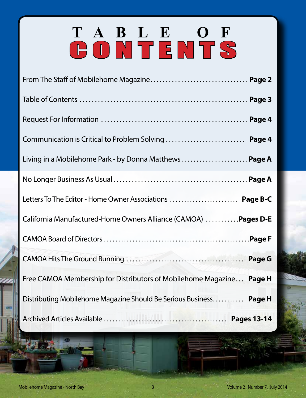# **TABLE OF** CONTENTS

| Communication is Critical to Problem Solving  Page 4                 |
|----------------------------------------------------------------------|
| Living in a Mobilehome Park - by Donna Matthews Page A               |
|                                                                      |
| Letters To The Editor - Home Owner Associations  Page B-C            |
| California Manufactured-Home Owners Alliance (CAMOA)  Pages D-E      |
|                                                                      |
|                                                                      |
| Free CAMOA Membership for Distributors of Mobilehome Magazine Page H |
| Distributing Mobilehome Magazine Should Be Serious Business Page H   |
|                                                                      |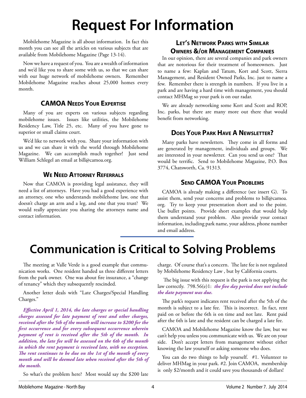## **Request For Information**

Mobilehome Magazine is all about information. In fact this month you can see all the articles on various subjects that are available from Mobilehome Magazine (Page 13-14).

Now we have a request of you. You are a wealth of information and we'd like you to share some with us, so that we can share with our huge network of mobilehome owners. Remember Mobilehome Magazine reaches about 25,000 homes every month.

#### **CAMOA Needs Your Expertise**

Many of you are experts on various subjects regarding mobilehome issues. Issues like utilities, the Mobilehome Residency Law, Title 25, etc. Many of you have gone to superior or small claims court.

We'd like to network with you. Share your information with us and we can share it with the world through Mobilehome Magazine. We can accomplish much together! Just send William Schlegel an email at bill@camoa.org.

#### **We Need Attorney Referrals**

Now that CAMOA is providing legal assistance, they will need a list of attorneys. Have you had a good experience with an attorney, one who understands mobilehome law, one that doesn't charge an arm and a leg, and one that you trust? We would really appreciate you sharing the attorneys name and contact information.

#### **Let's Network Parks with Similar Owners &/or Management Companies**

In our opinion, there are several companies and park owners that are notorious for their treatment of homeowners. Just to name a few: Kaplan and Tatum, Kort and Scott, Sierra Management, and Resident Owned Parks, Inc. just to name a few. Remember there is strength in numbers. If you live in a park and are having a hard time with management, you should contact MHMag so your park is on our radar.

We are already networking some Kort and Scott and ROP, Inc. parks, but there are many more out there that would benefit from networking.

#### **Does Your Park Have A Newsletter?**

Many parks have newsletters. They come in all forms and are generated by management, individuals and groups. We are interested in your newsletter. Can you send us one? That would be terrific. Send to Mobilehome Magazine, P.O. Box 3774, Chatsworth, Ca. 91313.

#### **Send CAMOA Your Problems**

CAMOA is already making a difference (see insert G). To assist them, send your concerns and problems to bill@camoa. org. Try to keep your presentation short and to the point. Use bullet points. Provide short examples that would help them understand your problem. Also provide your contact information, including park name, your address, phone number and email address.

### **Communication is Critical to Solving Problems**

The meeting at Valle Verde is a good example that communication works. One resident handed us three different letters from the park owner. One was about fire insurance, a "change of tenancy" which they subsequently rescinded.

Another letter deals with "Late Charges/Special Handling Charges."

*Effective April 1, 2014, the late charges or special handling charges assessed for late payment of rent and other charges, received after the 5th of the month will increase to \$200 for the first occurrence and for every subsequent occurrence wherein payment of rent is received after the 5th of the month. In addition, the late fee will be assessed on the 6th of the month in which the rent payment is received late, with no exception. The rent continues to be due on the 1st of the month of every month and will be deemed late when received after the 5th of the month.*

So what's the problem here? Most would say the \$200 late

charge. Of course that's a concern. The late fee is not regulated by Mobilehome Residency Law , but by California courts.

 The big issue with this request is the park is not applying the law correctly. 798.56(e)1: *the five day period does not include the date payment was due.* 

The park's request indicates rent received after the 5th of the month is subject to a late fee. This is incorrect. In fact, rent paid on or before the 6th is on time and not late. Rent paid after the 6th is late and the resident can be charged a late fee.

CAMOA and Mobilehome Magazine know the law, but we can't help you unless you communicate with us. We are on your side. Don't accept letters from management without either knowing the law yourself or asking someone who does.

You can do two things to help yourself. #1. Volunteer to deliver MHMag in your park. #2. Join CAMOA, membership is only \$2/month and it could save you thousands of dollars!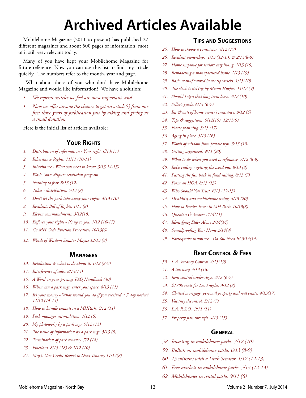## **Archived Articles Available**

Mobilehome Magazine (2011 to present) has published 27 different magazines and about 500 pages of information, most of it still very relevant today.

Many of you have kept your Mobilehome Magazine for future reference. Now you can use this list to find any article quickly. The numbers refer to the month, year and page.

 What about those of you who don't have Mobilehome Magazine and would like information? We have a solution:

- *• We reprint articles we feel are most important and*
- *• Now we offer anyone the chance to get an article(s) from our first three years of publication just by asking and giving us a small donation.*

Here is the initial list of articles available:

#### **Your Rights**

- *1. Distribution of information Your right. 6/13(17)*
- *2. Inheritance Rights. 11/11 (10-11)*
- *3. Inheritance What you need to know. 3/13 14-15)*
- *4. Wash. State dispute resolution program.*
- *5. Nothing to fear. 8/13 (12)*
- *6. Tubes distribution. 5/13 (8)*
- *7. Don't let the park take away your rights. 4/13 (10)*
- *8. Residents Bill of Rights. 1/13 (8)*
- *9. Eleven commandments. 3/12(18)*
- *10. Enforce your rights It's up to you. 1/12 (16-17)*
- *11. Ca MH Code Eviction Procedures 10/13(6)*
- *12. Words of Wisdom Senator Mayne 12/13 (8)*

#### **Managers**

- *13. Retaliation & what to do about it. 1/12 (8-9)*
- *14. Interference of sales. 8/13(15)*
- *15. A Word on your privacy. FAQ Handbook (30)*
- *16. When can a park mgr. enter your space. 8/13 (11)*
- *17. It's your money What would you do if you received a 7 day notice? 11/12 (14-15)*
- *18. How to handle tenants in a MHPark. 5/12 (11)*
- *19. Park manager intimidation. 1/12 (6)*
- *20. My philosophy by a park mgr. 9/12 (13)*
- *21. The value of information by a park mgr. 5/13 (9)*
- *22. Termination of park tenancy. 7/2 (18)*
- *23. Evictions. 8/13 (18) & 1/12 (10)*
- *24. Mngt. Uses Credit Report to Deny Tenancy 11/13(8)*

#### **Tips and Suggestions**

- *25. How to choose a contractor. 5/12 (19)*
- *26. Resident ownership. 1/13 (12-13) & 2/13(8-9)*
- *27. Home improve for seniors easy living. 1/13 (19)*
- *28. Remodeling a manufactured home. 2/13 (19)*
- *29. Basic manufactured home tips-tricks. 1/13(20)*
- *30. The clock is ticking by Myron Hughes. 11/12 (9)*
- *31. Should I sign that long term lease. 3/12 (10)*
- *32. Seller's guide. 6/13 (6-7)*
- *33. Ins & outs of home owner's insurance. 9/12 (5)*
- *34. Tips & suggestions. 9/12(15), 12/13(9)*
- *35. Estate planning. 3/13 (17)*
- *36. Aging in place. 3/13 (16)*
- *37. Words of wisdom from female reps. 3/13 (10)*
- *38. Getting organized. 9/11 (20)*
- *39. What to do when you need to refinance. 7/12 (8-9)*
- *40. Robo calling getting the word out. 8/13 (8)*
- *41. Putting the fun back in fund raising. 8/13 (7)*
- *42. Form an HOA. 8/13 (13)*
- *43. Who Should You Trust. 6/13 (12-13)*
- *44. Disability and mobilehome living. 3/13 (20)*
- *45. How to Resolve Issues in MH Parks 10/13(8)*
- *46. Question & Answer 2/14(11)*
- *47. Identifying Elder Abuse 2/14(14)*
- *48. Soundproofing Your Home 2/14(9)*
- *49. Earthquake Insurance Do You Need It? 5/14(14)*

#### **Rent Control & Fees**

- *50. L.A. Vacancy Control. 4/13(19)*
- *51. A tax story. 4/13 (16)*
- *52. Rent control under siege. 3/12 (6-7)*
- *53. \$1700 rents for Los Angeles. 3/12 (8)*
- *54. Chattel mortgage, personal property and real estate. 4/13(17)*
- *55. Vacancy decontrol. 5/12 (7)*
- *56. L.A. R.S.O. 9/11 (11)*
- *57. Property pass through. 4/13 (15)*

#### **General**

- *58. Investing in mobilehome parks. 7/12 (10)*
- *59. Bullish on mobilehome parks. 6/13 (8-9)*
- *60. 15 minutes with a Utah Senator. 1/12 (12-13)*
- *61. Free markets in mobilehome parks. 5/13 (12-13)*
- *62. Mobilehomes in rental parks. 9/11 (6)*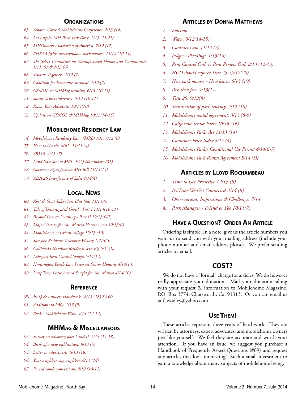#### **Organizations**

- *63. Senator Correa's Mobilehome Conference. 2/13 (14)*
- *64. Los Angeles MH Park Task Force. 2/13 (11,21)*
- *65. MHOwners Association of America. 7/12 (17)*
- *66. PHRAA fights unscrupulous park owners. 11/12 (10-11)*
- *67. The Select Committee on Manufactured Homes and Communities. 1/13 (5) & 2/13 (6)*
- *68. Tenants Together. 1/12 (7)*
- *69. Coalition for Economic Survival. 1/12 (7)*
- *70. GSMOL & MHMag teaming. 6/13 (10-11)*
- *71. Santa Cruz conference. 5/13 (10-11)*
- *72. Know Your Advocates 10/13(10)*
- *73. Update on GSMOL & MHMag 10/13(14-15)*

#### **Mobilehome Residency Law**

- *74. Mobilehome Residency Law (MRL) 101. 7/12 (6)*
- *75. How to Use the MRL. 11/11 (4)*
- *76. SB510. 4/13 (7)*
- *77. Land lease law vs MRL. FAQ Handbook. (31)*
- *78. Governor Signs Jackson MH Bill 11/13(15)*
- *79. AB2026 Interference of Sales 4/14(4)*

#### **Local News**

- *80. Kort & Scott Take Over Blue Star 11/13(5)*
- *81. Tale of Unmitigated Greed Part I 11/13(10-11)*
- *82. Beyond Fear & Loathing Part II 12/13(6-7)*
- *83. Major Victory for San Marcos Homeowners 12/13(6)*
- *84. Mobilehome vs Urban Village 12/13 (10)*
- *85. San Jose Residents Celebrate Victory 12/13(5)*
- *86. California Hawiian Residents Win Big 5/14(E)*
- *87. Lakeport Rent Control Sought 5/14(13)*
- *88. Huntington Beach Law Preserves Senior Housing 4/14(13)*
- *89. Long Term Lease Accord Sought for San Marcos 4/14(10)*

#### **Reference**

- *90. FAQ & Answers Handbook. 8/13 (18) \$6.00*
- *91. Additions to FAQ. 1/13 (9)*
- *92. Book Mobilehome Wars. 4/13 (12-13)*

#### **MHMag & Miscellaneous**

- *93. Survey on advocacy part I and II. 5/13 (14-18)*
- *94. Birth of a new publication. 8/13 (5)*
- *95. Letter to advertisers. 6/13 (18)*
- *96. Your neighbor, my neighbor. 6/13 (14)*
- *97. Forced condo conversions. 9/12 (10-12)*

#### **Articles by Donna Matthews**

- *1. Eviction.*
- *2. Water. 9/12(14-15)*
- *3. Contract Law. 11/12 (7)*
- *4. Judges Pleadings. 1/13(16)*
- *5. Rent Control Ord. vs Rent Review Ord. 2/13 (12-13)*
- *6. HCD should enforce Title 25. (5/12(20)*
- *7. New park owners New leases. 6/13 (19)*
- *8. Pass thru fees. 4/13(14)*
- *9. Title 25. 9/12(8)*
- *10. Termination of park tenancy. 7/12 (18)*
- *11. Mobilehome rental agreement. 3/13 (8-9)*
- *12. California Senior Parks 10/13 (16)*
- *13. Mobilehome Parks Act 11/13 (14)*
- *14. Consumer Price Index 3/14 (4)*
- *15. Mobilehome Parks- Conditional Use Permit 4/14(6-7)*
- *16. Mobilehome Park Rental Agreement 5/14 (D)*

#### **Articles by Lloyd Rochambeau**

- *1. Time to Get Proactive 12/13 (8)*
- *2. It's Time We Get Connected 2/14 (8)*
- *3. Observations, Impressions & Challenges 5/14*
- *4. Park Manager Friend or Foe 10/13(7)*

#### **Have a Question? Order An Article**

Ordering is simple. In a note, give us the article numbers you want us to send you with your mailing address (include your phone number and email address please). We prefer sending articles by email.

#### **COST?**

We do not have a "formal" charge for articles. We do however really appreciate your donation. Mail your donation, along with your request & information to Mobilehome Magazine, P.O. Box 3774, Chatsworth, Ca. 91313. Or you can email us at fawodley@yahoo.com

#### **Use Them!**

These articles represent three years of hard work. They are written by attorneys, expert advocates, and mobilehome owners just like yourself. We feel they are accurate and worth your attention. If you have an issue, we suggest you purchase a Handbook of Frequently Asked Questions (#69) and request any articles that look interesting. Such a small investment to gain a knowledge about many subjects of mobilehome living.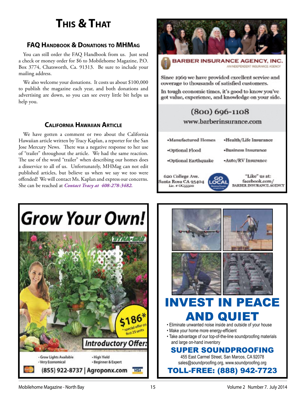### **This & That**

#### **FAQ Handbook & Donations to MHMag**

You can still order the FAQ Handbook from us. Just send a check or money order for \$6 to Mobilehome Magazine, P.O. Box 3774, Chatsworth, Ca. 91313. Be sure to include your mailing address.

We also welcome your donations. It costs us about \$100,000 to publish the magazine each year, and both donations and advertising are down, so you can see every little bit helps us help you.

#### **California Hawaiian Article**

We have gotten a comment or two about the California Hawaiian article written by Tracy Kaplan, a reporter for the San Jose Mercury News. There was a negative response to her use of "trailer" throughout the article. We had the same reaction. The use of the word "trailer" when describing our homes does a disservice to all of us. Unfortunately, MHMag can not edit published articles, but believe us when we say we too were offended! We will contact Ms. Kaplan and express our concerns. She can be reached at *Contact Tracy at 408-278-3482.*



Since 1969 we have provided excellent service and coverage to thousands of satisfied customers.

In tough economic times, it's good to know you've got value, experience, and knowledge on your side.

### $(800)$  696-1108

www.barberinsurance.com

**Manufactured Homes** 

«Business Insurance

-Auto/RV Insurance

«Health/Life Insurance

-Optional Flood

620 College Ave.

Santa Rosa CA 95404

Lie. #OG55500

-Optional Earthquake